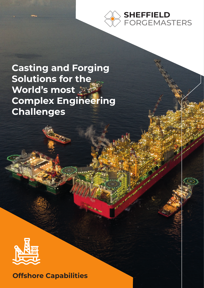

**Casting and Forging Solutions for the World's most Complex Engineering Challenges**



**Offshore Capabilities**